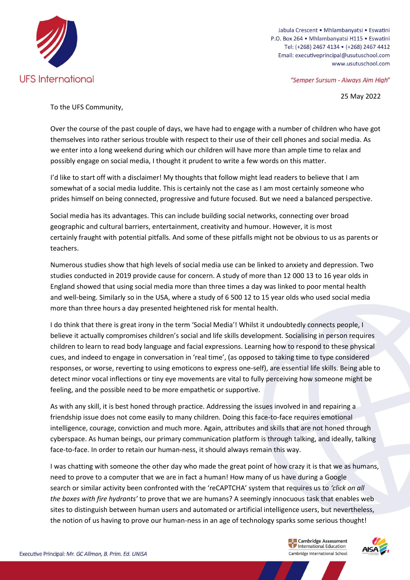

Jabula Crescent • Mhlambanyatsi • Eswatini P.O. Box 264 · Mhlambanyatsi H115 · Eswatini Tel: (+268) 2467 4134 · (+268) 2467 4412 Email: executiveprincipal@usutuschool.com www.usutuschool.com

"Semper Sursum - Always Aim High"

25 May 2022

To the UFS Community,

Over the course of the past couple of days, we have had to engage with a number of children who have got themselves into rather serious trouble with respect to their use of their cell phones and social media. As we enter into a long weekend during which our children will have more than ample time to relax and possibly engage on social media, I thought it prudent to write a few words on this matter.

I'd like to start off with a disclaimer! My thoughts that follow might lead readers to believe that I am somewhat of a social media luddite. This is certainly not the case as I am most certainly someone who prides himself on being connected, progressive and future focused. But we need a balanced perspective.

Social media has its advantages. This can include building social networks, connecting over broad geographic and cultural barriers, entertainment, creativity and humour. However, it is most certainly fraught with potential pitfalls. And some of these pitfalls might not be obvious to us as parents or teachers.

Numerous studies show that high levels of social media use can be linked to anxiety and depression. Two studies conducted in 2019 provide cause for concern. A study of more than 12 000 13 to 16 year olds in England showed that using social media more than three times a day was linked to poor mental health and well-being. Similarly so in the USA, where a study of 6 500 12 to 15 year olds who used social media more than three hours a day presented heightened risk for mental health.

I do think that there is great irony in the term 'Social Media'! Whilst it undoubtedly connects people, I believe it actually compromises children's social and life skills development. Socialising in person requires children to learn to read body language and facial expressions. Learning how to respond to these physical cues, and indeed to engage in conversation in 'real time', (as opposed to taking time to type considered responses, or worse, reverting to using emoticons to express one-self), are essential life skills. Being able to detect minor vocal inflections or tiny eye movements are vital to fully perceiving how someone might be feeling, and the possible need to be more empathetic or supportive.

As with any skill, it is best honed through practice. Addressing the issues involved in and repairing a friendship issue does not come easily to many children. Doing this face-to-face requires emotional intelligence, courage, conviction and much more. Again, attributes and skills that are not honed through cyberspace. As human beings, our primary communication platform is through talking, and ideally, talking face-to-face. In order to retain our human-ness, it should always remain this way.

I was chatting with someone the other day who made the great point of how crazy it is that we as humans, need to prove to a computer that we are in fact a human! How many of us have during a Google search or similar activity been confronted with the 'reCAPTCHA' system that requires us to *'click on all the boxes with fire hydrants'* to prove that we are humans? A seemingly innocuous task that enables web sites to distinguish between human users and automated or artificial intelligence users, but nevertheless, the notion of us having to prove our human-ness in an age of technology sparks some serious thought!

> Cambridge Assessment **Example 2** Cambridge Assessment<br> **Combridge International Echonics** Cambridge International School